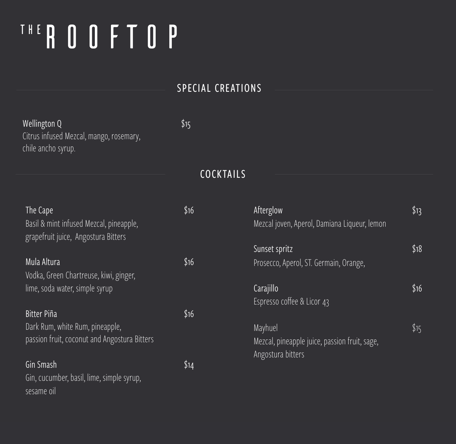# THE ROOFTOP

## SPECIAL CREATIONS

| Wellington Q                            | \$15 |
|-----------------------------------------|------|
| Citrus infused Mezcal, mango, rosemary, |      |
| chile ancho syrup.                      |      |

### COCKTAILS

| The Cape<br>Basil & mint infused Mezcal, pineapple,                      | \$16 | Afterglow<br>Mezcal joven, Aperol, Damiana Liqueur, lemon | \$13 |
|--------------------------------------------------------------------------|------|-----------------------------------------------------------|------|
| grapefruit juice, Angostura Bitters                                      |      | Sunset spritz                                             | \$18 |
| Mula Altura                                                              | \$16 | Prosecco, Aperol, ST. Germain, Orange,                    |      |
| Vodka, Green Chartreuse, kiwi, ginger,<br>lime, soda water, simple syrup |      | Carajillo                                                 | \$16 |
|                                                                          |      | Espresso coffee & Licor 43                                |      |
| Bitter Piña                                                              | \$16 |                                                           |      |
| Dark Rum, white Rum, pineapple,                                          |      | Mayhuel                                                   | \$15 |
| passion fruit, coconut and Angostura Bitters                             |      | Mezcal, pineapple juice, passion fruit, sage,             |      |
|                                                                          |      | Angostura bitters                                         |      |
| Gin Smash                                                                | \$14 |                                                           |      |
| Gin, cucumber, basil, lime, simple syrup,<br>sesame oil                  |      |                                                           |      |
|                                                                          |      |                                                           |      |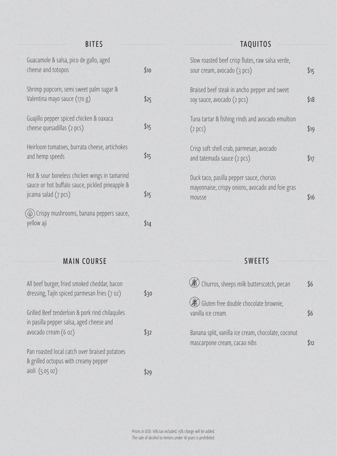## BITES

| Guacamole & salsa, pico de gallo, aged<br>cheese and totopos                                                             | \$10 |
|--------------------------------------------------------------------------------------------------------------------------|------|
| Shrimp popcorn, semi sweet palm sugar &<br>Valentina mayo sauce (170 g)                                                  | \$25 |
| Guajillo pepper spiced chicken & oaxaca<br>cheese quesadillas (2 pcs)                                                    | \$15 |
| Heirloom tomatoes, burrata cheese, artichokes<br>and hemp speeds                                                         | \$15 |
| Hot & sour boneless chicken wings in tamarind<br>sauce or hot buffalo sauce, pickled pineapple &<br>jicama salad (7 pcs) | \$15 |
| $\hat{I}(\hat{P})$ Crispy mushrooms, banana peppers sauce,<br>yellow aji                                                 | \$14 |

## TAQUITOS

| Slow roasted beef crisp flutes, raw salsa verde,<br>sour cream, avocado (3 pcs)                        | \$15 |
|--------------------------------------------------------------------------------------------------------|------|
| Braised beef steak in ancho pepper and sweet<br>soy sauce, avocado (2 pcs)                             | \$18 |
| Tuna tartar & fishing rinds and avocado emultion<br>(2 pcs)                                            | \$19 |
| Crisp soft shell crab, parmesan, avocado<br>and tatemada sauce (2 pcs)                                 | \$17 |
| Duck taco, pasilla pepper sauce, chorizo<br>mayonnaise, crispy onions, avocado and foie gras<br>mousse | \$16 |

## MAIN COURSE

| All beef burger, fried smoked cheddar, bacon<br>dressing, Tajín spiced parmesan fries (7 oz)                        | \$30 |
|---------------------------------------------------------------------------------------------------------------------|------|
| Grilled Beef tenderloin & pork rind chilaquiles<br>in pasilla pepper salsa, aged cheese and<br>avocado cream (6 oz) | \$32 |
| Pan roasted local catch over braised potatoes<br>& grilled octopus with creamy pepper<br>aioli (5.05 oz)            |      |

#### SWEETS

| $\mathcal{E}$ Churros, sheeps milk butterscotch, pecan                              | \$6  |
|-------------------------------------------------------------------------------------|------|
| Gluten free double chocolate brownie,<br>vanilla ice cream.                         |      |
| Banana split, vanilla ice cream, chocolate, coconut<br>mascarpone cream, cacao nibs | \$12 |